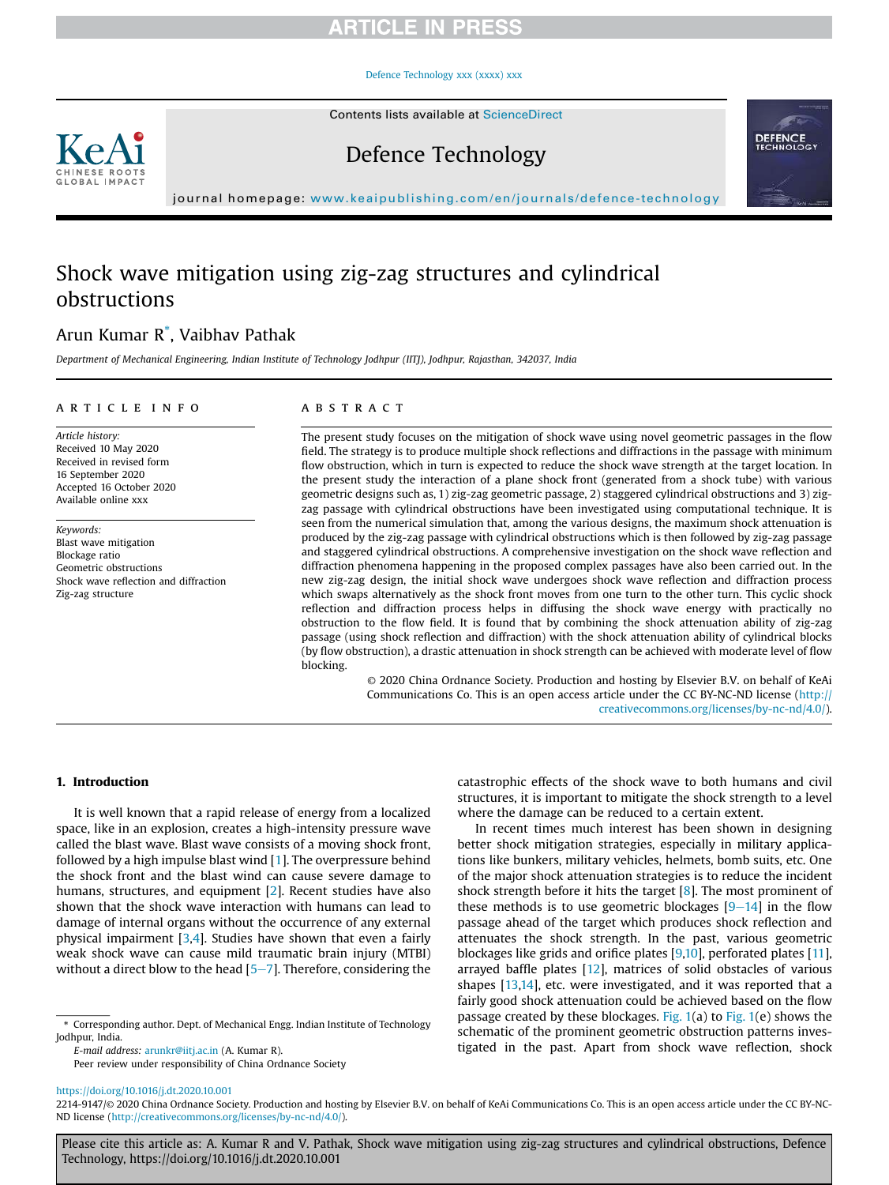## Defence Technology xxx (xxxx) xxx

Contents lists available at ScienceDirect



Defence Technology



# Shock wave mitigation using zig-zag structures and cylindrical obstructions

# Arun Kumar R\* , Vaibhav Pathak

*Department of Mechanical Engineering, Indian Institute of Technology Jodhpur (IITJ), Jodhpur, Rajasthan, 342037, India*

### article info

*Article history:* Received 10 May 2020 Received in revised form 16 September 2020 Accepted 16 October 2020 Available online xxx

*Keywords:* Blast wave mitigation Blockage ratio Geometric obstructions Shock wave reflection and diffraction Zig-zag structure

## **ABSTRACT**

The present study focuses on the mitigation of shock wave using novel geometric passages in the flow field. The strategy is to produce multiple shock reflections and diffractions in the passage with minimum flow obstruction, which in turn is expected to reduce the shock wave strength at the target location. In the present study the interaction of a plane shock front (generated from a shock tube) with various geometric designs such as, 1) zig-zag geometric passage, 2) staggered cylindrical obstructions and 3) zigzag passage with cylindrical obstructions have been investigated using computational technique. It is seen from the numerical simulation that, among the various designs, the maximum shock attenuation is produced by the zig-zag passage with cylindrical obstructions which is then followed by zig-zag passage and staggered cylindrical obstructions. A comprehensive investigation on the shock wave reflection and diffraction phenomena happening in the proposed complex passages have also been carried out. In the new zig-zag design, the initial shock wave undergoes shock wave reflection and diffraction process which swaps alternatively as the shock front moves from one turn to the other turn. This cyclic shock reflection and diffraction process helps in diffusing the shock wave energy with practically no obstruction to the flow field. It is found that by combining the shock attenuation ability of zig-zag passage (using shock reflection and diffraction) with the shock attenuation ability of cylindrical blocks (by flow obstruction), a drastic attenuation in shock strength can be achieved with moderate level of flow blocking.

© 2020 China Ordnance Society. Production and hosting by Elsevier B.V. on behalf of KeAi Communications Co. This is an open access article under the CC BY-NC-ND license (http:// creativecommons.org/licenses/by-nc-nd/4.0/).

## 1. Introduction

It is well known that a rapid release of energy from a localized space, like in an explosion, creates a high-intensity pressure wave called the blast wave. Blast wave consists of a moving shock front, followed by a high impulse blast wind [1]. The overpressure behind the shock front and the blast wind can cause severe damage to humans, structures, and equipment [2]. Recent studies have also shown that the shock wave interaction with humans can lead to damage of internal organs without the occurrence of any external physical impairment [3,4]. Studies have shown that even a fairly weak shock wave can cause mild traumatic brain injury (MTBI) without a direct blow to the head  $[5-7]$ . Therefore, considering the

\* Corresponding author. Dept. of Mechanical Engg. Indian Institute of Technology Jodhpur, India.

*E-mail address:* arunkr@iitj.ac.in (A. Kumar R).

Peer review under responsibility of China Ordnance Society

catastrophic effects of the shock wave to both humans and civil structures, it is important to mitigate the shock strength to a level where the damage can be reduced to a certain extent.

In recent times much interest has been shown in designing better shock mitigation strategies, especially in military applications like bunkers, military vehicles, helmets, bomb suits, etc. One of the major shock attenuation strategies is to reduce the incident shock strength before it hits the target [8]. The most prominent of these methods is to use geometric blockages  $[9-14]$  in the flow passage ahead of the target which produces shock reflection and attenuates the shock strength. In the past, various geometric blockages like grids and orifice plates [9,10], perforated plates [11], arrayed baffle plates [12], matrices of solid obstacles of various shapes [13,14], etc. were investigated, and it was reported that a fairly good shock attenuation could be achieved based on the flow passage created by these blockages. Fig. 1(a) to Fig. 1(e) shows the schematic of the prominent geometric obstruction patterns investigated in the past. Apart from shock wave reflection, shock

Please cite this article as: A. Kumar R and V. Pathak, Shock wave mitigation using zig-zag structures and cylindrical obstructions, Defence Technology, https://doi.org/10.1016/j.dt.2020.10.001

https://doi.org/10.1016/j.dt.2020.10.001

<sup>2214-9147/</sup>© 2020 China Ordnance Society. Production and hosting by Elsevier B.V. on behalf of KeAi Communications Co. This is an open access article under the CC BY-NC-ND license (http://creativecommons.org/licenses/by-nc-nd/4.0/).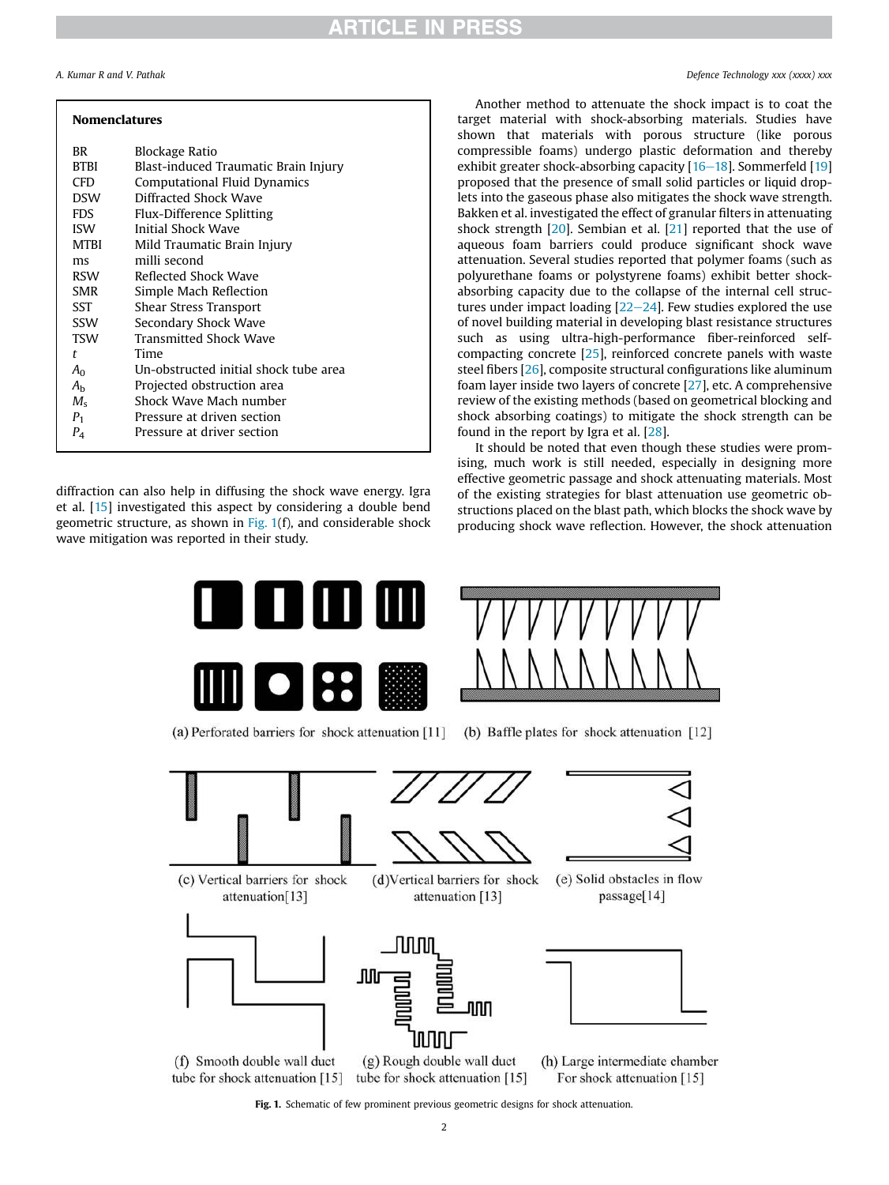| <b>Nomenclatures</b> |                                       |  |  |
|----------------------|---------------------------------------|--|--|
| BR.                  | Blockage Ratio                        |  |  |
| <b>BTBI</b>          | Blast-induced Traumatic Brain Injury  |  |  |
| <b>CFD</b>           | Computational Fluid Dynamics          |  |  |
| <b>DSW</b>           | Diffracted Shock Wave                 |  |  |
| <b>FDS</b>           | Flux-Difference Splitting             |  |  |
| <b>ISW</b>           | Initial Shock Wave                    |  |  |
| <b>MTBI</b>          | Mild Traumatic Brain Injury           |  |  |
| ms                   | milli second                          |  |  |
| <b>RSW</b>           | Reflected Shock Wave                  |  |  |
| SMR.                 | Simple Mach Reflection                |  |  |
| SST                  | Shear Stress Transport                |  |  |
| SSW                  | Secondary Shock Wave                  |  |  |
| <b>TSW</b>           | <b>Transmitted Shock Wave</b>         |  |  |
| t                    | Time                                  |  |  |
| A٥                   | Un-obstructed initial shock tube area |  |  |
| Ah                   | Projected obstruction area            |  |  |
| $M_{\rm s}$          | Shock Wave Mach number                |  |  |
| $P_1$                | Pressure at driven section            |  |  |
| P <sub>4</sub>       | Pressure at driver section            |  |  |
|                      |                                       |  |  |

diffraction can also help in diffusing the shock wave energy. Igra et al. [15] investigated this aspect by considering a double bend geometric structure, as shown in Fig. 1(f), and considerable shock wave mitigation was reported in their study.

*A. Kumar R and V. Pathak Defence Technology xxx (xxxx) xxx*

Another method to attenuate the shock impact is to coat the target material with shock-absorbing materials. Studies have shown that materials with porous structure (like porous compressible foams) undergo plastic deformation and thereby exhibit greater shock-absorbing capacity  $[16-18]$ . Sommerfeld  $[19]$ proposed that the presence of small solid particles or liquid droplets into the gaseous phase also mitigates the shock wave strength. Bakken et al. investigated the effect of granular filters in attenuating shock strength [20]. Sembian et al. [21] reported that the use of aqueous foam barriers could produce significant shock wave attenuation. Several studies reported that polymer foams (such as polyurethane foams or polystyrene foams) exhibit better shockabsorbing capacity due to the collapse of the internal cell structures under impact loading  $[22-24]$ . Few studies explored the use of novel building material in developing blast resistance structures such as using ultra-high-performance fiber-reinforced selfcompacting concrete [25], reinforced concrete panels with waste steel fibers [26], composite structural configurations like aluminum foam layer inside two layers of concrete [27], etc. A comprehensive review of the existing methods (based on geometrical blocking and shock absorbing coatings) to mitigate the shock strength can be found in the report by Igra et al. [28].

It should be noted that even though these studies were promising, much work is still needed, especially in designing more effective geometric passage and shock attenuating materials. Most of the existing strategies for blast attenuation use geometric obstructions placed on the blast path, which blocks the shock wave by producing shock wave reflection. However, the shock attenuation



Fig. 1. Schematic of few prominent previous geometric designs for shock attenuation.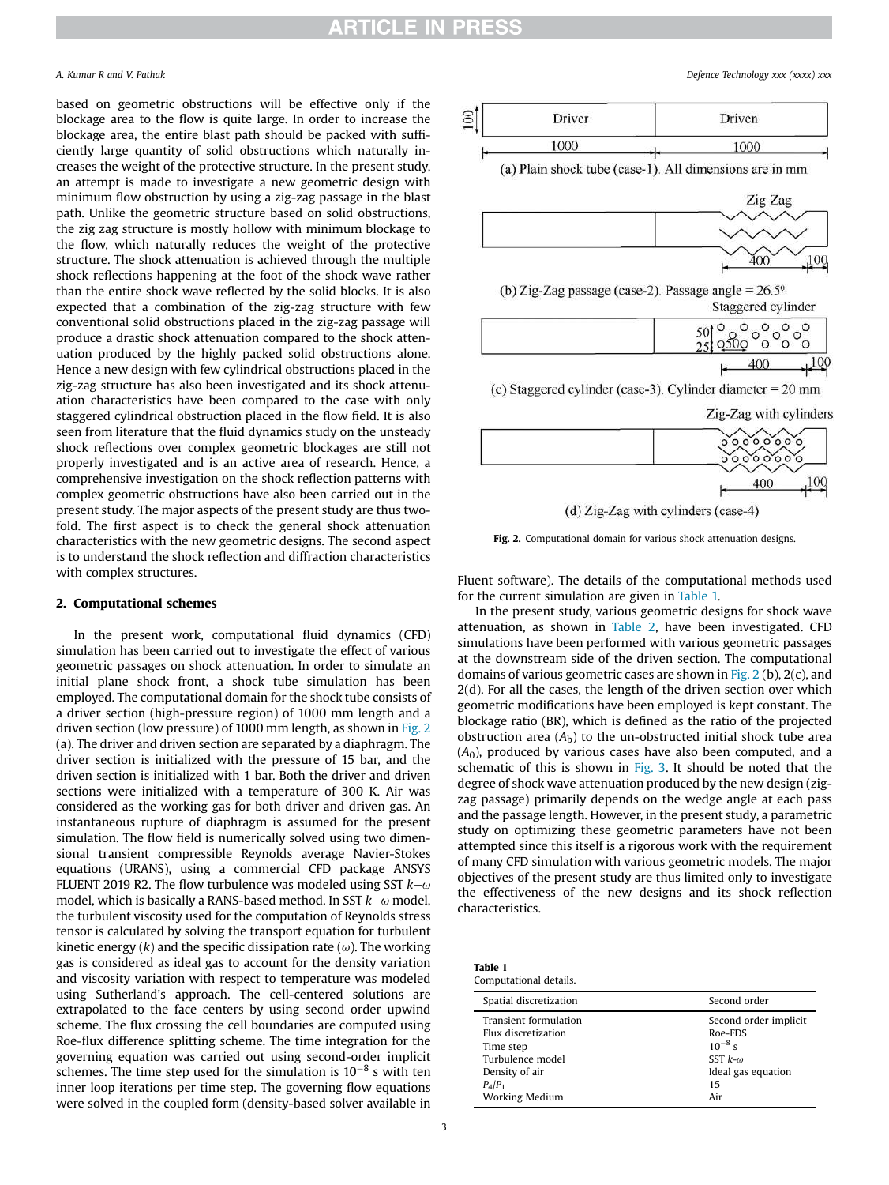based on geometric obstructions will be effective only if the blockage area to the flow is quite large. In order to increase the blockage area, the entire blast path should be packed with sufficiently large quantity of solid obstructions which naturally increases the weight of the protective structure. In the present study, an attempt is made to investigate a new geometric design with minimum flow obstruction by using a zig-zag passage in the blast path. Unlike the geometric structure based on solid obstructions, the zig zag structure is mostly hollow with minimum blockage to the flow, which naturally reduces the weight of the protective structure. The shock attenuation is achieved through the multiple shock reflections happening at the foot of the shock wave rather than the entire shock wave reflected by the solid blocks. It is also expected that a combination of the zig-zag structure with few conventional solid obstructions placed in the zig-zag passage will produce a drastic shock attenuation compared to the shock attenuation produced by the highly packed solid obstructions alone. Hence a new design with few cylindrical obstructions placed in the zig-zag structure has also been investigated and its shock attenuation characteristics have been compared to the case with only staggered cylindrical obstruction placed in the flow field. It is also seen from literature that the fluid dynamics study on the unsteady shock reflections over complex geometric blockages are still not properly investigated and is an active area of research. Hence, a comprehensive investigation on the shock reflection patterns with complex geometric obstructions have also been carried out in the present study. The major aspects of the present study are thus twofold. The first aspect is to check the general shock attenuation characteristics with the new geometric designs. The second aspect is to understand the shock reflection and diffraction characteristics with complex structures.

## 2. Computational schemes

In the present work, computational fluid dynamics (CFD) simulation has been carried out to investigate the effect of various geometric passages on shock attenuation. In order to simulate an initial plane shock front, a shock tube simulation has been employed. The computational domain for the shock tube consists of a driver section (high-pressure region) of 1000 mm length and a driven section (low pressure) of 1000 mm length, as shown in Fig. 2 (a). The driver and driven section are separated by a diaphragm. The driver section is initialized with the pressure of 15 bar, and the driven section is initialized with 1 bar. Both the driver and driven sections were initialized with a temperature of 300 K. Air was considered as the working gas for both driver and driven gas. An instantaneous rupture of diaphragm is assumed for the present simulation. The flow field is numerically solved using two dimensional transient compressible Reynolds average Navier-Stokes equations (URANS), using a commercial CFD package ANSYS FLUENT 2019 R2. The flow turbulence was modeled using SST  $k-\omega$ model, which is basically a RANS-based method. In SST  $k-\omega$  model, the turbulent viscosity used for the computation of Reynolds stress tensor is calculated by solving the transport equation for turbulent kinetic energy  $(k)$  and the specific dissipation rate  $(\omega)$ . The working gas is considered as ideal gas to account for the density variation and viscosity variation with respect to temperature was modeled using Sutherland's approach. The cell-centered solutions are extrapolated to the face centers by using second order upwind scheme. The flux crossing the cell boundaries are computed using Roe-flux difference splitting scheme. The time integration for the governing equation was carried out using second-order implicit schemes. The time step used for the simulation is  $10^{-8}$  s with ten inner loop iterations per time step. The governing flow equations were solved in the coupled form (density-based solver available in



<sup>(</sup>b) Zig-Zag passage (case-2). Passage angle =  $26.5^{\circ}$ Staggered cylinder

| 0.00000<br>$\sim$ $\sim$<br>O<br>O<br>$\mathfrak{c}$ |
|------------------------------------------------------|
|                                                      |

(c) Staggered cylinder (case-3). Cylinder diameter = 20 mm

Zig-Zag with cylinders ó  $0000$ 400 100 (d) Zig-Zag with cylinders (case-4)

Fig. 2. Computational domain for various shock attenuation designs.

Fluent software). The details of the computational methods used for the current simulation are given in Table 1.

In the present study, various geometric designs for shock wave attenuation, as shown in Table 2, have been investigated. CFD simulations have been performed with various geometric passages at the downstream side of the driven section. The computational domains of various geometric cases are shown in Fig. 2 (b), 2(c), and 2(d). For all the cases, the length of the driven section over which geometric modifications have been employed is kept constant. The blockage ratio (BR), which is defined as the ratio of the projected obstruction area  $(A<sub>b</sub>)$  to the un-obstructed initial shock tube area  $(A<sub>0</sub>)$ , produced by various cases have also been computed, and a schematic of this is shown in Fig. 3. It should be noted that the degree of shock wave attenuation produced by the new design (zigzag passage) primarily depends on the wedge angle at each pass and the passage length. However, in the present study, a parametric study on optimizing these geometric parameters have not been attempted since this itself is a rigorous work with the requirement of many CFD simulation with various geometric models. The major objectives of the present study are thus limited only to investigate the effectiveness of the new designs and its shock reflection characteristics.

| <b>Table 1</b>         |
|------------------------|
| Computational details. |

| Spatial discretization | Second order          |
|------------------------|-----------------------|
| Transient formulation  | Second order implicit |
| Flux discretization    | Roe-FDS               |
| Time step              | $10^{-8}$ s           |
| Turbulence model       | $SST k-\omega$        |
| Density of air         | Ideal gas equation    |
| $P_4/P_1$              | 15                    |
| <b>Working Medium</b>  | Air                   |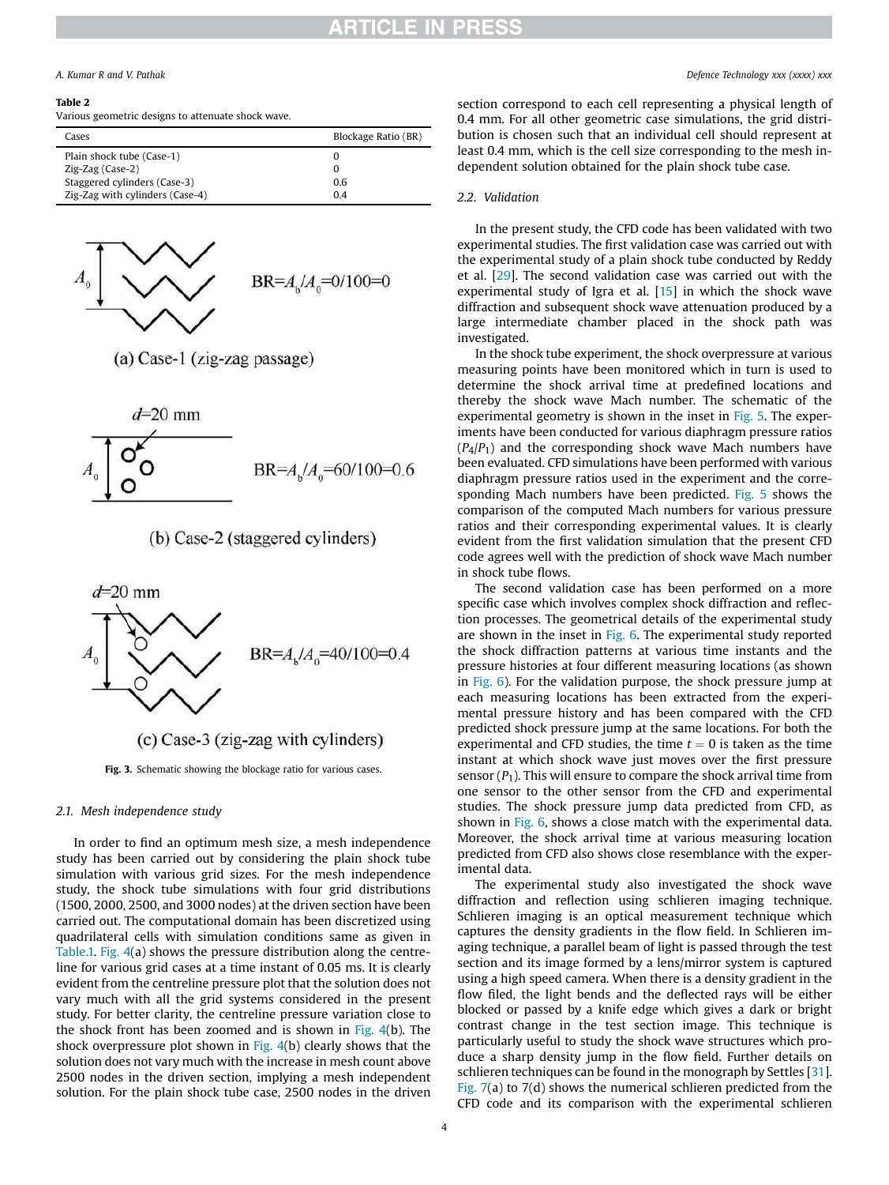### Table 2

Various geometric designs to attenuate shock wave.

| Cases                           | Blockage Ratio (BR) |
|---------------------------------|---------------------|
| Plain shock tube (Case-1)       |                     |
| Zig-Zag (Case-2)                | 0                   |
| Staggered cylinders (Case-3)    | 0.6                 |
| Zig-Zag with cylinders (Case-4) | 0.4                 |



(a) Case-1 (zig-zag passage)



## (b) Case-2 (staggered cylinders)



(c) Case-3 (zig-zag with cylinders)

Fig. 3. Schematic showing the blockage ratio for various cases.

## *2.1. Mesh independence study*

In order to find an optimum mesh size, a mesh independence study has been carried out by considering the plain shock tube simulation with various grid sizes. For the mesh independence study, the shock tube simulations with four grid distributions (1500, 2000, 2500, and 3000 nodes) at the driven section have been carried out. The computational domain has been discretized using quadrilateral cells with simulation conditions same as given in Table.1. Fig. 4(a) shows the pressure distribution along the centreline for various grid cases at a time instant of 0.05 ms. It is clearly evident from the centreline pressure plot that the solution does not vary much with all the grid systems considered in the present study. For better clarity, the centreline pressure variation close to the shock front has been zoomed and is shown in Fig.  $4(b)$ . The shock overpressure plot shown in Fig.  $4(b)$  clearly shows that the solution does not vary much with the increase in mesh count above 2500 nodes in the driven section, implying a mesh independent solution. For the plain shock tube case, 2500 nodes in the driven section correspond to each cell representing a physical length of 0.4 mm. For all other geometric case simulations, the grid distribution is chosen such that an individual cell should represent at least 0.4 mm, which is the cell size corresponding to the mesh independent solution obtained for the plain shock tube case.

### *2.2. Validation*

In the present study, the CFD code has been validated with two experimental studies. The first validation case was carried out with the experimental study of a plain shock tube conducted by Reddy et al. [29]. The second validation case was carried out with the experimental study of Igra et al. [15] in which the shock wave diffraction and subsequent shock wave attenuation produced by a large intermediate chamber placed in the shock path was investigated.

In the shock tube experiment, the shock overpressure at various measuring points have been monitored which in turn is used to determine the shock arrival time at predefined locations and thereby the shock wave Mach number. The schematic of the experimental geometry is shown in the inset in Fig. 5. The experiments have been conducted for various diaphragm pressure ratios  $(P_4/P_1)$  and the corresponding shock wave Mach numbers have been evaluated. CFD simulations have been performed with various diaphragm pressure ratios used in the experiment and the corresponding Mach numbers have been predicted. Fig. 5 shows the comparison of the computed Mach numbers for various pressure ratios and their corresponding experimental values. It is clearly evident from the first validation simulation that the present CFD code agrees well with the prediction of shock wave Mach number in shock tube flows.

The second validation case has been performed on a more specific case which involves complex shock diffraction and reflection processes. The geometrical details of the experimental study are shown in the inset in Fig. 6. The experimental study reported the shock diffraction patterns at various time instants and the pressure histories at four different measuring locations (as shown in Fig. 6). For the validation purpose, the shock pressure jump at each measuring locations has been extracted from the experimental pressure history and has been compared with the CFD predicted shock pressure jump at the same locations. For both the experimental and CFD studies, the time  $t = 0$  is taken as the time instant at which shock wave just moves over the first pressure sensor  $(P_1)$ . This will ensure to compare the shock arrival time from one sensor to the other sensor from the CFD and experimental studies. The shock pressure jump data predicted from CFD, as shown in Fig. 6, shows a close match with the experimental data. Moreover, the shock arrival time at various measuring location predicted from CFD also shows close resemblance with the experimental data.

The experimental study also investigated the shock wave diffraction and reflection using schlieren imaging technique. Schlieren imaging is an optical measurement technique which captures the density gradients in the flow field. In Schlieren imaging technique, a parallel beam of light is passed through the test section and its image formed by a lens/mirror system is captured using a high speed camera. When there is a density gradient in the flow filed, the light bends and the deflected rays will be either blocked or passed by a knife edge which gives a dark or bright contrast change in the test section image. This technique is particularly useful to study the shock wave structures which produce a sharp density jump in the flow field. Further details on schlieren techniques can be found in the monograph by Settles [31]. Fig. 7(a) to 7(d) shows the numerical schlieren predicted from the CFD code and its comparison with the experimental schlieren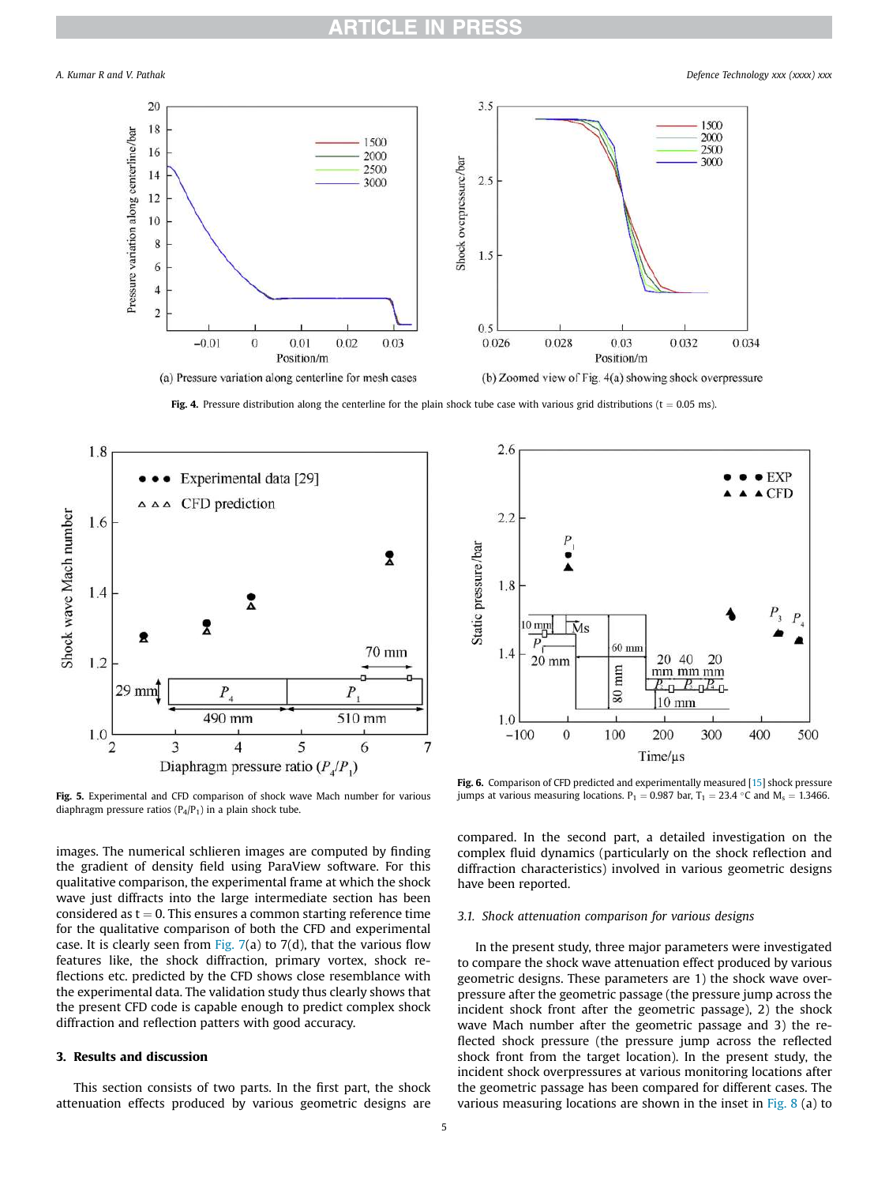*A. Kumar R and V. Pathak Defence Technology xxx (xxxx) xxx*



Fig. 4. Pressure distribution along the centerline for the plain shock tube case with various grid distributions (t = 0.05 ms).



Fig. 5. Experimental and CFD comparison of shock wave Mach number for various diaphragm pressure ratios  $(P_4/P_1)$  in a plain shock tube.

images. The numerical schlieren images are computed by finding the gradient of density field using ParaView software. For this qualitative comparison, the experimental frame at which the shock wave just diffracts into the large intermediate section has been considered as  $t = 0$ . This ensures a common starting reference time for the qualitative comparison of both the CFD and experimental case. It is clearly seen from Fig. 7(a) to 7(d), that the various flow features like, the shock diffraction, primary vortex, shock reflections etc. predicted by the CFD shows close resemblance with the experimental data. The validation study thus clearly shows that the present CFD code is capable enough to predict complex shock diffraction and reflection patters with good accuracy.

## 3. Results and discussion

This section consists of two parts. In the first part, the shock attenuation effects produced by various geometric designs are



Fig. 6. Comparison of CFD predicted and experimentally measured [15] shock pressure jumps at various measuring locations.  $P_1 = 0.987$  bar,  $T_1 = 23.4$  °C and  $M_s = 1.3466$ .

compared. In the second part, a detailed investigation on the complex fluid dynamics (particularly on the shock reflection and diffraction characteristics) involved in various geometric designs have been reported.

### *3.1. Shock attenuation comparison for various designs*

In the present study, three major parameters were investigated to compare the shock wave attenuation effect produced by various geometric designs. These parameters are 1) the shock wave overpressure after the geometric passage (the pressure jump across the incident shock front after the geometric passage), 2) the shock wave Mach number after the geometric passage and 3) the reflected shock pressure (the pressure jump across the reflected shock front from the target location). In the present study, the incident shock overpressures at various monitoring locations after the geometric passage has been compared for different cases. The various measuring locations are shown in the inset in Fig. 8 (a) to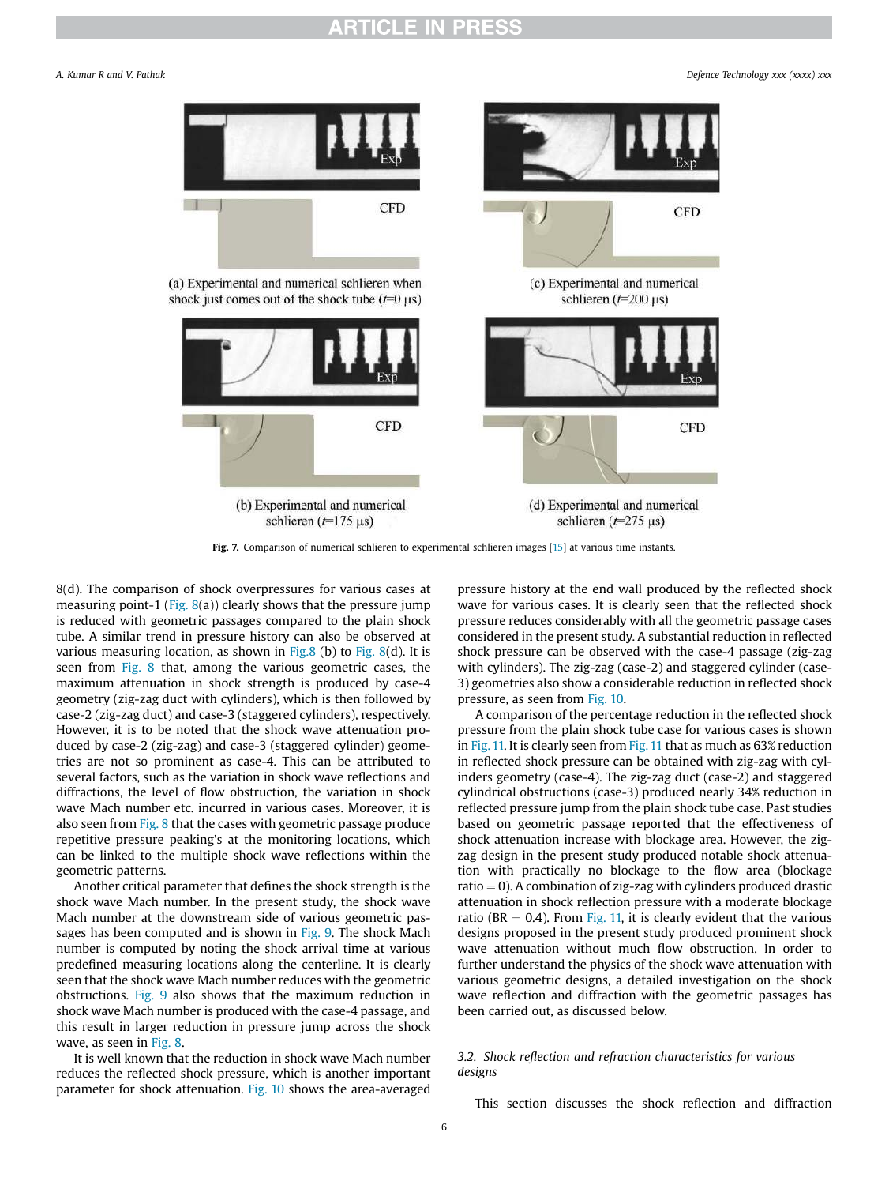*A. Kumar R and V. Pathak Defence Technology xxx (xxxx) xxx*



Fig. 7. Comparison of numerical schlieren to experimental schlieren images [15] at various time instants.

8(d). The comparison of shock overpressures for various cases at measuring point-1 (Fig. 8(a)) clearly shows that the pressure jump is reduced with geometric passages compared to the plain shock tube. A similar trend in pressure history can also be observed at various measuring location, as shown in Fig.8 (b) to Fig. 8(d). It is seen from Fig. 8 that, among the various geometric cases, the maximum attenuation in shock strength is produced by case-4 geometry (zig-zag duct with cylinders), which is then followed by case-2 (zig-zag duct) and case-3 (staggered cylinders), respectively. However, it is to be noted that the shock wave attenuation produced by case-2 (zig-zag) and case-3 (staggered cylinder) geometries are not so prominent as case-4. This can be attributed to several factors, such as the variation in shock wave reflections and diffractions, the level of flow obstruction, the variation in shock wave Mach number etc. incurred in various cases. Moreover, it is also seen from Fig. 8 that the cases with geometric passage produce repetitive pressure peaking's at the monitoring locations, which can be linked to the multiple shock wave reflections within the geometric patterns.

Another critical parameter that defines the shock strength is the shock wave Mach number. In the present study, the shock wave Mach number at the downstream side of various geometric passages has been computed and is shown in Fig. 9. The shock Mach number is computed by noting the shock arrival time at various predefined measuring locations along the centerline. It is clearly seen that the shock wave Mach number reduces with the geometric obstructions. Fig. 9 also shows that the maximum reduction in shock wave Mach number is produced with the case-4 passage, and this result in larger reduction in pressure jump across the shock wave, as seen in Fig. 8.

It is well known that the reduction in shock wave Mach number reduces the reflected shock pressure, which is another important parameter for shock attenuation. Fig. 10 shows the area-averaged

pressure history at the end wall produced by the reflected shock wave for various cases. It is clearly seen that the reflected shock pressure reduces considerably with all the geometric passage cases considered in the present study. A substantial reduction in reflected shock pressure can be observed with the case-4 passage (zig-zag with cylinders). The zig-zag (case-2) and staggered cylinder (case-3) geometries also show a considerable reduction in reflected shock pressure, as seen from Fig. 10.

A comparison of the percentage reduction in the reflected shock pressure from the plain shock tube case for various cases is shown in Fig. 11. It is clearly seen from Fig. 11 that as much as 63% reduction in reflected shock pressure can be obtained with zig-zag with cylinders geometry (case-4). The zig-zag duct (case-2) and staggered cylindrical obstructions (case-3) produced nearly 34% reduction in reflected pressure jump from the plain shock tube case. Past studies based on geometric passage reported that the effectiveness of shock attenuation increase with blockage area. However, the zigzag design in the present study produced notable shock attenuation with practically no blockage to the flow area (blockage  $ratio = 0$ ). A combination of zig-zag with cylinders produced drastic attenuation in shock reflection pressure with a moderate blockage ratio (BR = 0.4). From Fig. 11, it is clearly evident that the various designs proposed in the present study produced prominent shock wave attenuation without much flow obstruction. In order to further understand the physics of the shock wave attenuation with various geometric designs, a detailed investigation on the shock wave reflection and diffraction with the geometric passages has been carried out, as discussed below.

## *3.2. Shock re*fl*ection and refraction characteristics for various designs*

This section discusses the shock reflection and diffraction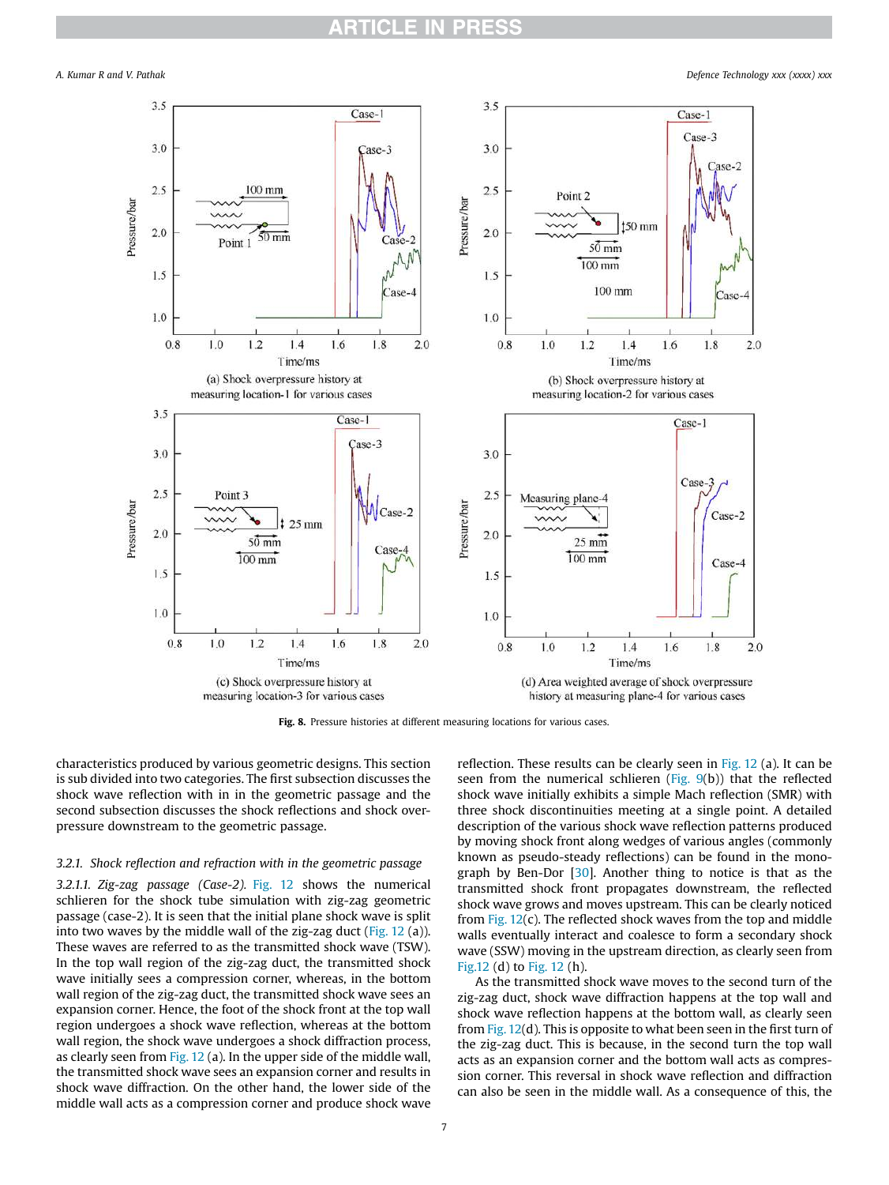*A. Kumar R and V. Pathak Defence Technology xxx (xxxx) xxx*



Fig. 8. Pressure histories at different measuring locations for various cases.

characteristics produced by various geometric designs. This section is sub divided into two categories. The first subsection discusses the shock wave reflection with in in the geometric passage and the second subsection discusses the shock reflections and shock overpressure downstream to the geometric passage.

### *3.2.1. Shock re*fl*ection and refraction with in the geometric passage*

*3.2.1.1. Zig-zag passage (Case-2).* Fig. 12 shows the numerical schlieren for the shock tube simulation with zig-zag geometric passage (case-2). It is seen that the initial plane shock wave is split into two waves by the middle wall of the zig-zag duct (Fig. 12 (a)). These waves are referred to as the transmitted shock wave (TSW). In the top wall region of the zig-zag duct, the transmitted shock wave initially sees a compression corner, whereas, in the bottom wall region of the zig-zag duct, the transmitted shock wave sees an expansion corner. Hence, the foot of the shock front at the top wall region undergoes a shock wave reflection, whereas at the bottom wall region, the shock wave undergoes a shock diffraction process, as clearly seen from Fig. 12 (a). In the upper side of the middle wall, the transmitted shock wave sees an expansion corner and results in shock wave diffraction. On the other hand, the lower side of the middle wall acts as a compression corner and produce shock wave

reflection. These results can be clearly seen in Fig. 12 (a). It can be seen from the numerical schlieren (Fig.  $9(b)$ ) that the reflected shock wave initially exhibits a simple Mach reflection (SMR) with three shock discontinuities meeting at a single point. A detailed description of the various shock wave reflection patterns produced by moving shock front along wedges of various angles (commonly known as pseudo-steady reflections) can be found in the monograph by Ben-Dor [30]. Another thing to notice is that as the transmitted shock front propagates downstream, the reflected shock wave grows and moves upstream. This can be clearly noticed from Fig.  $12(c)$ . The reflected shock waves from the top and middle walls eventually interact and coalesce to form a secondary shock wave (SSW) moving in the upstream direction, as clearly seen from Fig.12 (d) to Fig. 12 (h).

As the transmitted shock wave moves to the second turn of the zig-zag duct, shock wave diffraction happens at the top wall and shock wave reflection happens at the bottom wall, as clearly seen from Fig.  $12(d)$ . This is opposite to what been seen in the first turn of the zig-zag duct. This is because, in the second turn the top wall acts as an expansion corner and the bottom wall acts as compression corner. This reversal in shock wave reflection and diffraction can also be seen in the middle wall. As a consequence of this, the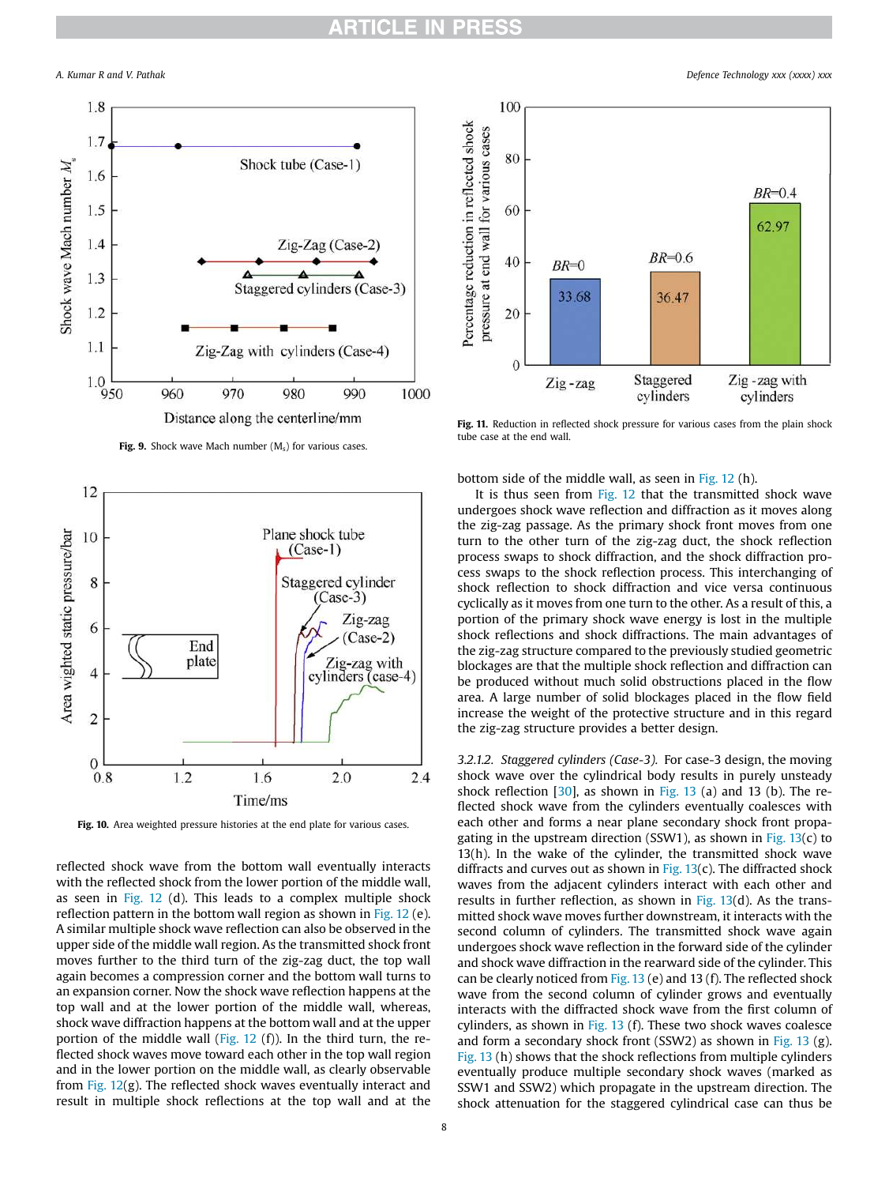

Fig. 9. Shock wave Mach number  $(M_s)$  for various cases.



Fig. 10. Area weighted pressure histories at the end plate for various cases.

reflected shock wave from the bottom wall eventually interacts with the reflected shock from the lower portion of the middle wall, as seen in Fig.  $12$  (d). This leads to a complex multiple shock reflection pattern in the bottom wall region as shown in Fig. 12 (e). A similar multiple shock wave reflection can also be observed in the upper side of the middle wall region. As the transmitted shock front moves further to the third turn of the zig-zag duct, the top wall again becomes a compression corner and the bottom wall turns to an expansion corner. Now the shock wave reflection happens at the top wall and at the lower portion of the middle wall, whereas, shock wave diffraction happens at the bottom wall and at the upper portion of the middle wall (Fig. 12 (f)). In the third turn, the reflected shock waves move toward each other in the top wall region and in the lower portion on the middle wall, as clearly observable from Fig.  $12(g)$ . The reflected shock waves eventually interact and result in multiple shock reflections at the top wall and at the



Fig. 11. Reduction in reflected shock pressure for various cases from the plain shock tube case at the end wall.

bottom side of the middle wall, as seen in Fig. 12 (h).

It is thus seen from Fig. 12 that the transmitted shock wave undergoes shock wave reflection and diffraction as it moves along the zig-zag passage. As the primary shock front moves from one turn to the other turn of the zig-zag duct, the shock reflection process swaps to shock diffraction, and the shock diffraction process swaps to the shock reflection process. This interchanging of shock reflection to shock diffraction and vice versa continuous cyclically as it moves from one turn to the other. As a result of this, a portion of the primary shock wave energy is lost in the multiple shock reflections and shock diffractions. The main advantages of the zig-zag structure compared to the previously studied geometric blockages are that the multiple shock reflection and diffraction can be produced without much solid obstructions placed in the flow area. A large number of solid blockages placed in the flow field increase the weight of the protective structure and in this regard the zig-zag structure provides a better design.

*3.2.1.2. Staggered cylinders (Case-3).* For case-3 design, the moving shock wave over the cylindrical body results in purely unsteady shock reflection [30], as shown in Fig. 13 (a) and 13 (b). The reflected shock wave from the cylinders eventually coalesces with each other and forms a near plane secondary shock front propagating in the upstream direction (SSW1), as shown in Fig.  $13(c)$  to 13(h). In the wake of the cylinder, the transmitted shock wave diffracts and curves out as shown in Fig.  $13(c)$ . The diffracted shock waves from the adjacent cylinders interact with each other and results in further reflection, as shown in Fig.  $13(d)$ . As the transmitted shock wave moves further downstream, it interacts with the second column of cylinders. The transmitted shock wave again undergoes shock wave reflection in the forward side of the cylinder and shock wave diffraction in the rearward side of the cylinder. This can be clearly noticed from Fig. 13 (e) and 13 (f). The reflected shock wave from the second column of cylinder grows and eventually interacts with the diffracted shock wave from the first column of cylinders, as shown in Fig. 13 (f). These two shock waves coalesce and form a secondary shock front (SSW2) as shown in Fig. 13 (g). Fig. 13 (h) shows that the shock reflections from multiple cylinders eventually produce multiple secondary shock waves (marked as SSW1 and SSW2) which propagate in the upstream direction. The shock attenuation for the staggered cylindrical case can thus be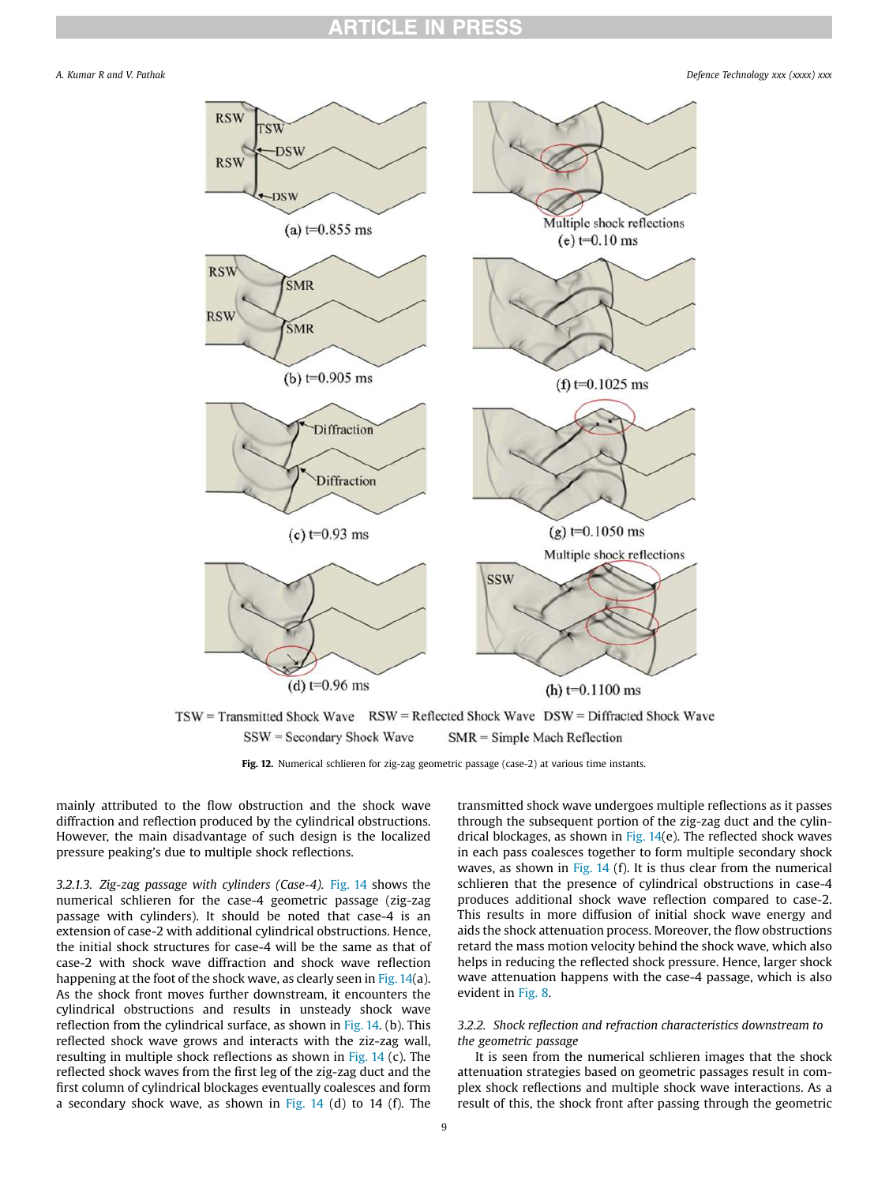*A. Kumar R and V. Pathak Defence Technology xxx (xxxx) xxx*



SSW = Secondary Shock Wave  $SMR =$  Simple Mach Reflection

Fig. 12. Numerical schlieren for zig-zag geometric passage (case-2) at various time instants.

mainly attributed to the flow obstruction and the shock wave diffraction and reflection produced by the cylindrical obstructions. However, the main disadvantage of such design is the localized pressure peaking's due to multiple shock reflections.

*3.2.1.3. Zig-zag passage with cylinders (Case-4).* Fig. 14 shows the numerical schlieren for the case-4 geometric passage (zig-zag passage with cylinders). It should be noted that case-4 is an extension of case-2 with additional cylindrical obstructions. Hence, the initial shock structures for case-4 will be the same as that of case-2 with shock wave diffraction and shock wave reflection happening at the foot of the shock wave, as clearly seen in Fig. 14(a). As the shock front moves further downstream, it encounters the cylindrical obstructions and results in unsteady shock wave reflection from the cylindrical surface, as shown in Fig. 14. (b). This reflected shock wave grows and interacts with the ziz-zag wall, resulting in multiple shock reflections as shown in Fig. 14 (c). The reflected shock waves from the first leg of the zig-zag duct and the first column of cylindrical blockages eventually coalesces and form a secondary shock wave, as shown in Fig.  $14$  (d) to  $14$  (f). The

transmitted shock wave undergoes multiple reflections as it passes through the subsequent portion of the zig-zag duct and the cylindrical blockages, as shown in Fig. 14(e). The reflected shock waves in each pass coalesces together to form multiple secondary shock waves, as shown in Fig. 14 (f). It is thus clear from the numerical schlieren that the presence of cylindrical obstructions in case-4 produces additional shock wave reflection compared to case-2. This results in more diffusion of initial shock wave energy and aids the shock attenuation process. Moreover, the flow obstructions retard the mass motion velocity behind the shock wave, which also helps in reducing the reflected shock pressure. Hence, larger shock wave attenuation happens with the case-4 passage, which is also evident in Fig. 8.

## *3.2.2. Shock re*fl*ection and refraction characteristics downstream to the geometric passage*

It is seen from the numerical schlieren images that the shock attenuation strategies based on geometric passages result in complex shock reflections and multiple shock wave interactions. As a result of this, the shock front after passing through the geometric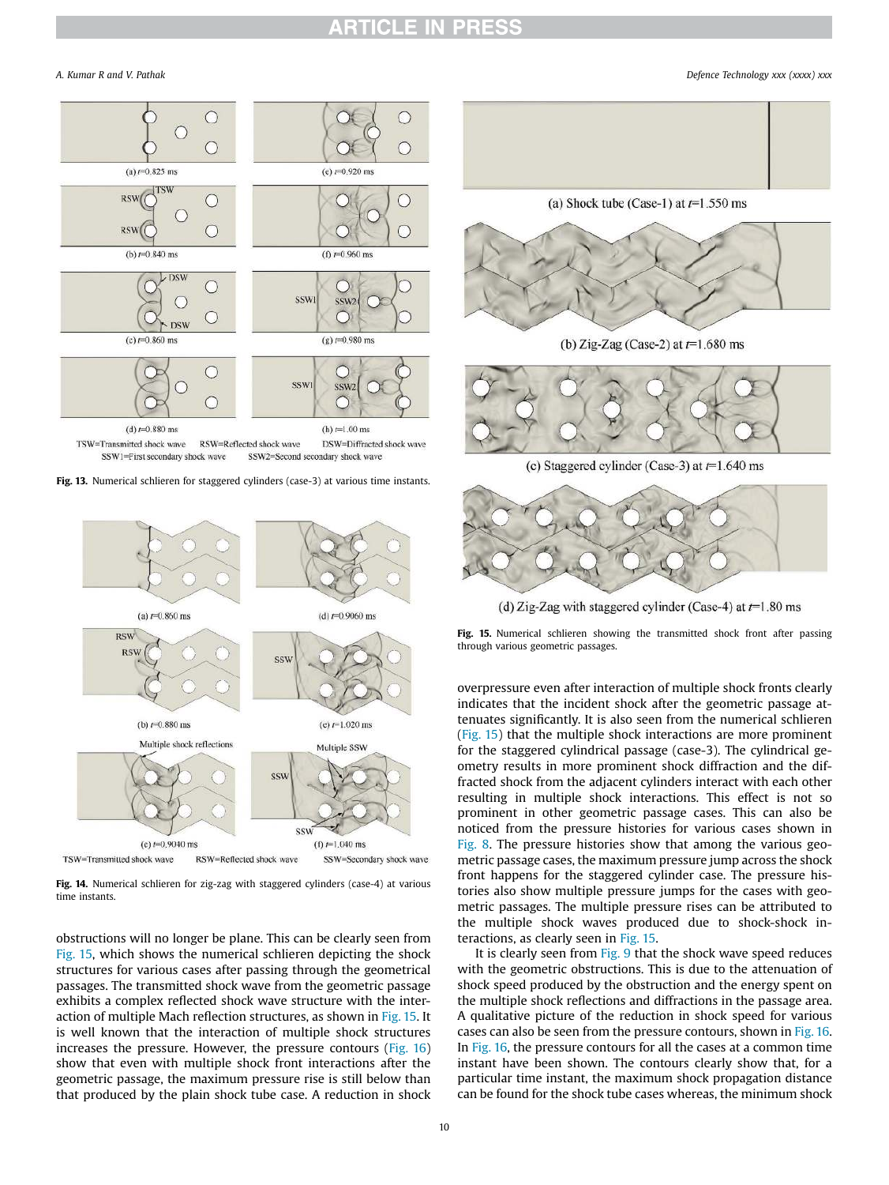$\circ$ С C  $\bigcap$  $\bigcirc$ (a)  $r=0.825$  ms (e)  $t=0.920$  ms **RSW**  $\bigcirc$ Э **RSV**  $\bigcirc$ ◠ (b)  $r=0.840$  ms  $(f)$  r=0.960 ms  $L$  DSW C **SSW** SSW<sub>2</sub> Œ  $\overline{C}$ Œ **DSW** (c)  $r=0.860$  ms  $(g)$  r=0.980 ms C SSW  $us$ C (d)  $t=0.880$  ms (h)  $t=1.00$  ms DSW=Diffracted shock wave TSW=Transmitted shock wave RSW=Reflected shock wave SSW1=First secondary shock wave SSW2=Second secondary shock wave





Fig. 14. Numerical schlieren for zig-zag with staggered cylinders (case-4) at various time instants.

obstructions will no longer be plane. This can be clearly seen from Fig. 15, which shows the numerical schlieren depicting the shock structures for various cases after passing through the geometrical passages. The transmitted shock wave from the geometric passage exhibits a complex reflected shock wave structure with the interaction of multiple Mach reflection structures, as shown in Fig. 15. It is well known that the interaction of multiple shock structures increases the pressure. However, the pressure contours (Fig. 16) show that even with multiple shock front interactions after the geometric passage, the maximum pressure rise is still below than that produced by the plain shock tube case. A reduction in shock

*A. Kumar R and V. Pathak Defence Technology xxx (xxxx) xxx*





(b) Zig-Zag (Case-2) at  $t=1.680$  ms



(c) Staggered cylinder (Case-3) at  $r=1.640$  ms



(d) Zig-Zag with staggered cylinder (Case-4) at  $t=1.80$  ms

Fig. 15. Numerical schlieren showing the transmitted shock front after passing through various geometric passages.

overpressure even after interaction of multiple shock fronts clearly indicates that the incident shock after the geometric passage attenuates significantly. It is also seen from the numerical schlieren (Fig. 15) that the multiple shock interactions are more prominent for the staggered cylindrical passage (case-3). The cylindrical geometry results in more prominent shock diffraction and the diffracted shock from the adjacent cylinders interact with each other resulting in multiple shock interactions. This effect is not so prominent in other geometric passage cases. This can also be noticed from the pressure histories for various cases shown in Fig. 8. The pressure histories show that among the various geometric passage cases, the maximum pressure jump across the shock front happens for the staggered cylinder case. The pressure histories also show multiple pressure jumps for the cases with geometric passages. The multiple pressure rises can be attributed to the multiple shock waves produced due to shock-shock interactions, as clearly seen in Fig. 15.

It is clearly seen from Fig. 9 that the shock wave speed reduces with the geometric obstructions. This is due to the attenuation of shock speed produced by the obstruction and the energy spent on the multiple shock reflections and diffractions in the passage area. A qualitative picture of the reduction in shock speed for various cases can also be seen from the pressure contours, shown in Fig. 16. In Fig. 16, the pressure contours for all the cases at a common time instant have been shown. The contours clearly show that, for a particular time instant, the maximum shock propagation distance can be found for the shock tube cases whereas, the minimum shock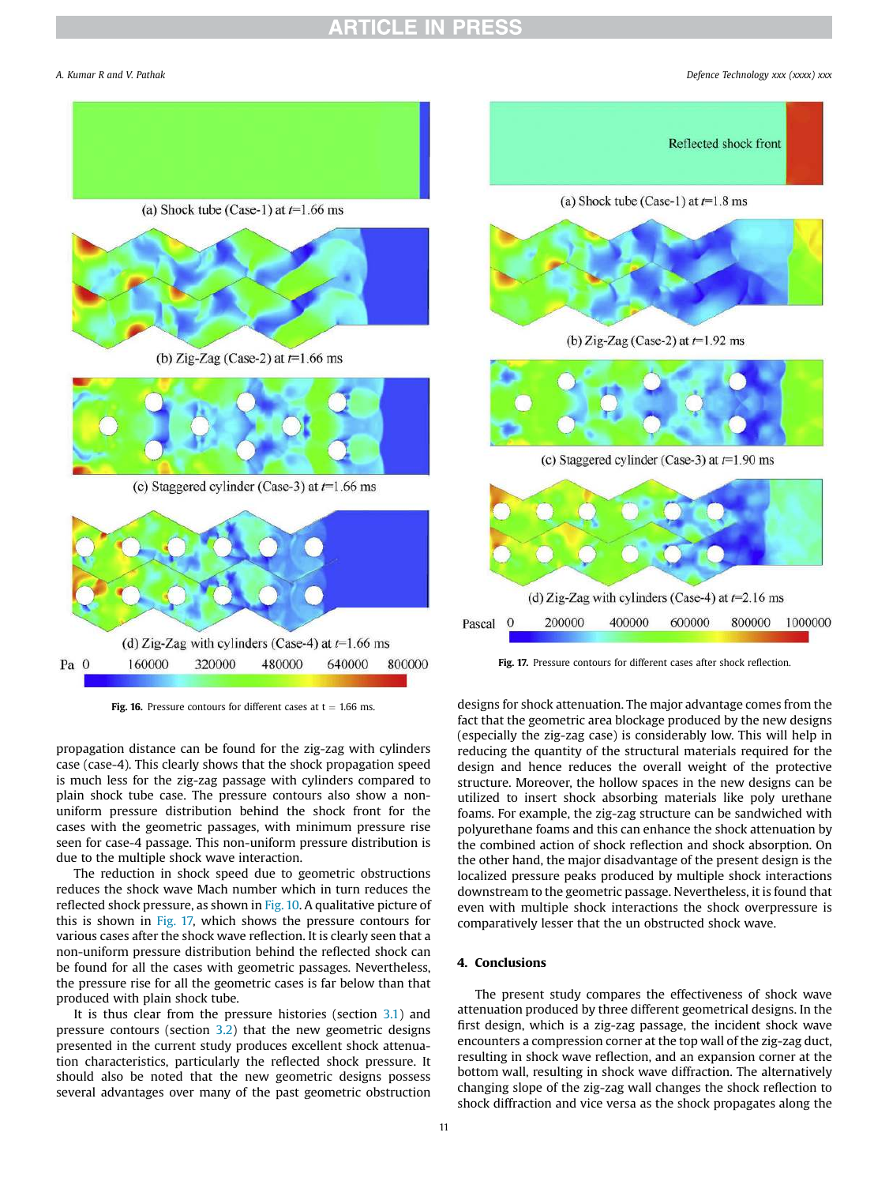*A. Kumar R and V. Pathak Defence Technology xxx (xxxx) xxx*



Fig. 16. Pressure contours for different cases at  $t = 1.66$  ms.

propagation distance can be found for the zig-zag with cylinders case (case-4). This clearly shows that the shock propagation speed is much less for the zig-zag passage with cylinders compared to plain shock tube case. The pressure contours also show a nonuniform pressure distribution behind the shock front for the cases with the geometric passages, with minimum pressure rise seen for case-4 passage. This non-uniform pressure distribution is due to the multiple shock wave interaction.

The reduction in shock speed due to geometric obstructions reduces the shock wave Mach number which in turn reduces the reflected shock pressure, as shown in Fig. 10. A qualitative picture of this is shown in Fig. 17, which shows the pressure contours for various cases after the shock wave reflection. It is clearly seen that a non-uniform pressure distribution behind the reflected shock can be found for all the cases with geometric passages. Nevertheless, the pressure rise for all the geometric cases is far below than that produced with plain shock tube.

It is thus clear from the pressure histories (section  $3.1$ ) and pressure contours (section 3.2) that the new geometric designs presented in the current study produces excellent shock attenuation characteristics, particularly the reflected shock pressure. It should also be noted that the new geometric designs possess several advantages over many of the past geometric obstruction



Fig. 17. Pressure contours for different cases after shock reflection.

designs for shock attenuation. The major advantage comes from the fact that the geometric area blockage produced by the new designs (especially the zig-zag case) is considerably low. This will help in reducing the quantity of the structural materials required for the design and hence reduces the overall weight of the protective structure. Moreover, the hollow spaces in the new designs can be utilized to insert shock absorbing materials like poly urethane foams. For example, the zig-zag structure can be sandwiched with polyurethane foams and this can enhance the shock attenuation by the combined action of shock reflection and shock absorption. On the other hand, the major disadvantage of the present design is the localized pressure peaks produced by multiple shock interactions downstream to the geometric passage. Nevertheless, it is found that even with multiple shock interactions the shock overpressure is comparatively lesser that the un obstructed shock wave.

## 4. Conclusions

The present study compares the effectiveness of shock wave attenuation produced by three different geometrical designs. In the first design, which is a zig-zag passage, the incident shock wave encounters a compression corner at the top wall of the zig-zag duct, resulting in shock wave reflection, and an expansion corner at the bottom wall, resulting in shock wave diffraction. The alternatively changing slope of the zig-zag wall changes the shock reflection to shock diffraction and vice versa as the shock propagates along the